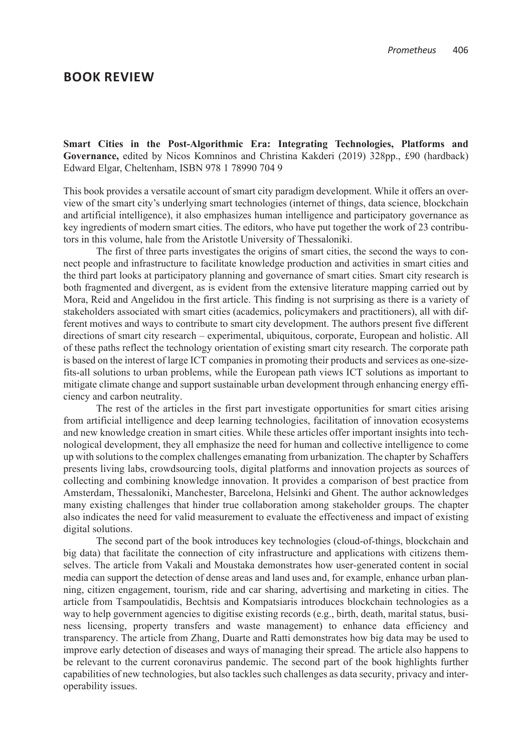**Smart Cities in the Post-Algorithmic Era: Integrating Technologies, Platforms and Governance,** edited by Nicos Komninos and Christina Kakderi (2019) 328pp., £90 (hardback) Edward Elgar, Cheltenham, ISBN 978 1 78990 704 9

This book provides a versatile account of smart city paradigm development. While it offers an overview of the smart city's underlying smart technologies (internet of things, data science, blockchain and artificial intelligence), it also emphasizes human intelligence and participatory governance as key ingredients of modern smart cities. The editors, who have put together the work of 23 contributors in this volume, hale from the Aristotle University of Thessaloniki.

The first of three parts investigates the origins of smart cities, the second the ways to connect people and infrastructure to facilitate knowledge production and activities in smart cities and the third part looks at participatory planning and governance of smart cities. Smart city research is both fragmented and divergent, as is evident from the extensive literature mapping carried out by Mora, Reid and Angelidou in the first article. This finding is not surprising as there is a variety of stakeholders associated with smart cities (academics, policymakers and practitioners), all with different motives and ways to contribute to smart city development. The authors present five different directions of smart city research – experimental, ubiquitous, corporate, European and holistic. All of these paths reflect the technology orientation of existing smart city research. The corporate path is based on the interest of large ICT companies in promoting their products and services as one-sizefits-all solutions to urban problems, while the European path views ICT solutions as important to mitigate climate change and support sustainable urban development through enhancing energy efficiency and carbon neutrality.

The rest of the articles in the first part investigate opportunities for smart cities arising from artificial intelligence and deep learning technologies, facilitation of innovation ecosystems and new knowledge creation in smart cities. While these articles offer important insights into technological development, they all emphasize the need for human and collective intelligence to come up with solutions to the complex challenges emanating from urbanization. The chapter by Schaffers presents living labs, crowdsourcing tools, digital platforms and innovation projects as sources of collecting and combining knowledge innovation. It provides a comparison of best practice from Amsterdam, Thessaloniki, Manchester, Barcelona, Helsinki and Ghent. The author acknowledges many existing challenges that hinder true collaboration among stakeholder groups. The chapter also indicates the need for valid measurement to evaluate the effectiveness and impact of existing digital solutions.

The second part of the book introduces key technologies (cloud-of-things, blockchain and big data) that facilitate the connection of city infrastructure and applications with citizens themselves. The article from Vakali and Moustaka demonstrates how user-generated content in social media can support the detection of dense areas and land uses and, for example, enhance urban planning, citizen engagement, tourism, ride and car sharing, advertising and marketing in cities. The article from Tsampoulatidis, Bechtsis and Kompatsiaris introduces blockchain technologies as a way to help government agencies to digitise existing records (e.g., birth, death, marital status, business licensing, property transfers and waste management) to enhance data efficiency and transparency. The article from Zhang, Duarte and Ratti demonstrates how big data may be used to improve early detection of diseases and ways of managing their spread. The article also happens to be relevant to the current coronavirus pandemic. The second part of the book highlights further capabilities of new technologies, but also tackles such challenges as data security, privacy and interoperability issues.